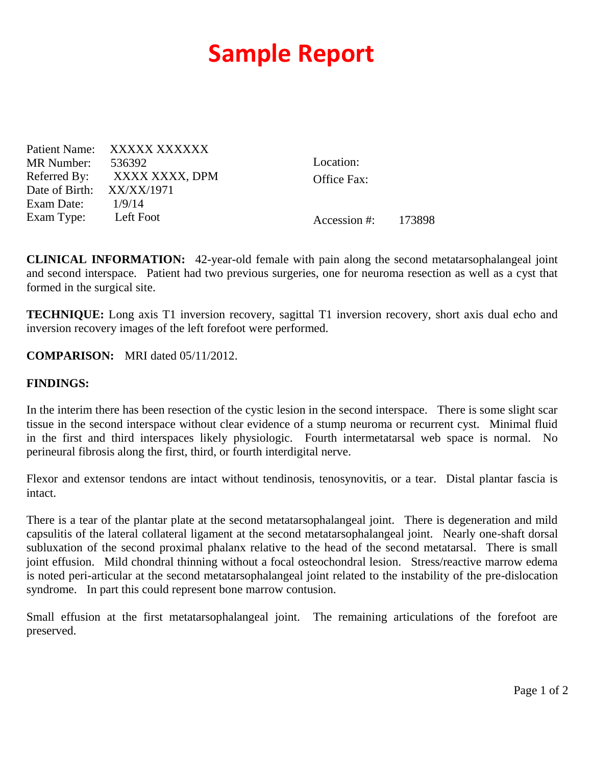## **Sample Report**

Patient Name: XXXXX XXXXXX MR Number: 536392 Referred By: XXXX XXXX, DPM Date of Birth: XX/XX/1971 Exam Date: 1/9/14 Exam Type: Left Foot

Location: Office Fax:

Accession #: 173898

**CLINICAL INFORMATION:** 42-year-old female with pain along the second metatarsophalangeal joint and second interspace. Patient had two previous surgeries, one for neuroma resection as well as a cyst that formed in the surgical site.

**TECHNIQUE:** Long axis T1 inversion recovery, sagittal T1 inversion recovery, short axis dual echo and inversion recovery images of the left forefoot were performed.

## **COMPARISON:** MRI dated 05/11/2012.

## **FINDINGS:**

In the interim there has been resection of the cystic lesion in the second interspace. There is some slight scar tissue in the second interspace without clear evidence of a stump neuroma or recurrent cyst. Minimal fluid in the first and third interspaces likely physiologic. Fourth intermetatarsal web space is normal. No perineural fibrosis along the first, third, or fourth interdigital nerve.

Flexor and extensor tendons are intact without tendinosis, tenosynovitis, or a tear. Distal plantar fascia is intact.

There is a tear of the plantar plate at the second metatarsophalangeal joint. There is degeneration and mild capsulitis of the lateral collateral ligament at the second metatarsophalangeal joint. Nearly one-shaft dorsal subluxation of the second proximal phalanx relative to the head of the second metatarsal. There is small joint effusion. Mild chondral thinning without a focal osteochondral lesion. Stress/reactive marrow edema is noted peri-articular at the second metatarsophalangeal joint related to the instability of the pre-dislocation syndrome. In part this could represent bone marrow contusion.

Small effusion at the first metatarsophalangeal joint. The remaining articulations of the forefoot are preserved.